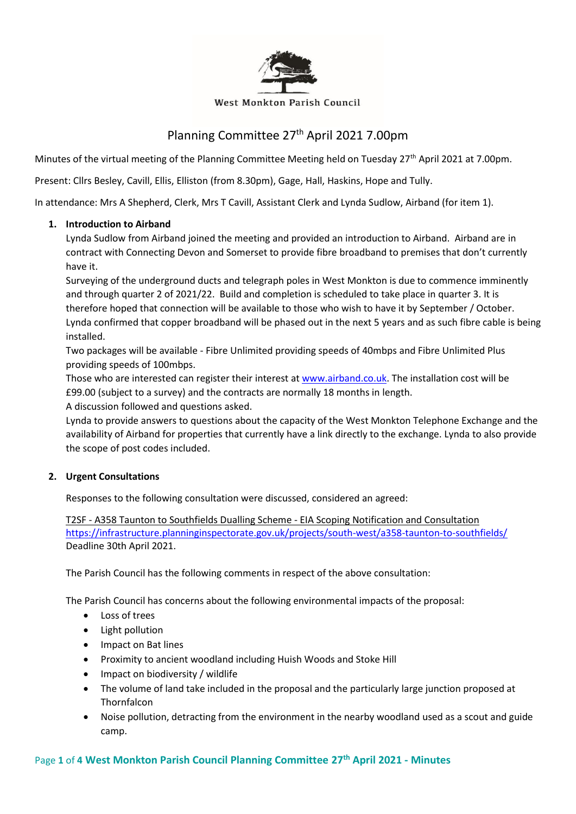

#### West Monkton Parish Council

# Planning Committee 27th April 2021 7.00pm

Minutes of the virtual meeting of the Planning Committee Meeting held on Tuesday 27<sup>th</sup> April 2021 at 7.00pm.

Present: Cllrs Besley, Cavill, Ellis, Elliston (from 8.30pm), Gage, Hall, Haskins, Hope and Tully.

In attendance: Mrs A Shepherd, Clerk, Mrs T Cavill, Assistant Clerk and Lynda Sudlow, Airband (for item 1).

#### **1. Introduction to Airband**

Lynda Sudlow from Airband joined the meeting and provided an introduction to Airband. Airband are in contract with Connecting Devon and Somerset to provide fibre broadband to premises that don't currently have it.

Surveying of the underground ducts and telegraph poles in West Monkton is due to commence imminently and through quarter 2 of 2021/22. Build and completion is scheduled to take place in quarter 3. It is therefore hoped that connection will be available to those who wish to have it by September / October. Lynda confirmed that copper broadband will be phased out in the next 5 years and as such fibre cable is being installed.

Two packages will be available - Fibre Unlimited providing speeds of 40mbps and Fibre Unlimited Plus providing speeds of 100mbps.

Those who are interested can register their interest at [www.airband.co.uk.](http://www.airband.co.uk/) The installation cost will be £99.00 (subject to a survey) and the contracts are normally 18 months in length.

A discussion followed and questions asked.

Lynda to provide answers to questions about the capacity of the West Monkton Telephone Exchange and the availability of Airband for properties that currently have a link directly to the exchange. Lynda to also provide the scope of post codes included.

# **2. Urgent Consultations**

Responses to the following consultation were discussed, considered an agreed:

T2SF - A358 Taunton to Southfields Dualling Scheme - EIA Scoping Notification and Consultation <https://infrastructure.planninginspectorate.gov.uk/projects/south-west/a358-taunton-to-southfields/> Deadline 30th April 2021.

The Parish Council has the following comments in respect of the above consultation:

The Parish Council has concerns about the following environmental impacts of the proposal:

- Loss of trees
- Light pollution
- Impact on Bat lines
- Proximity to ancient woodland including Huish Woods and Stoke Hill
- Impact on biodiversity / wildlife
- The volume of land take included in the proposal and the particularly large junction proposed at **Thornfalcon**
- Noise pollution, detracting from the environment in the nearby woodland used as a scout and guide camp.

# Page **1** of **4 West Monkton Parish Council Planning Committee 27th April 2021 - Minutes**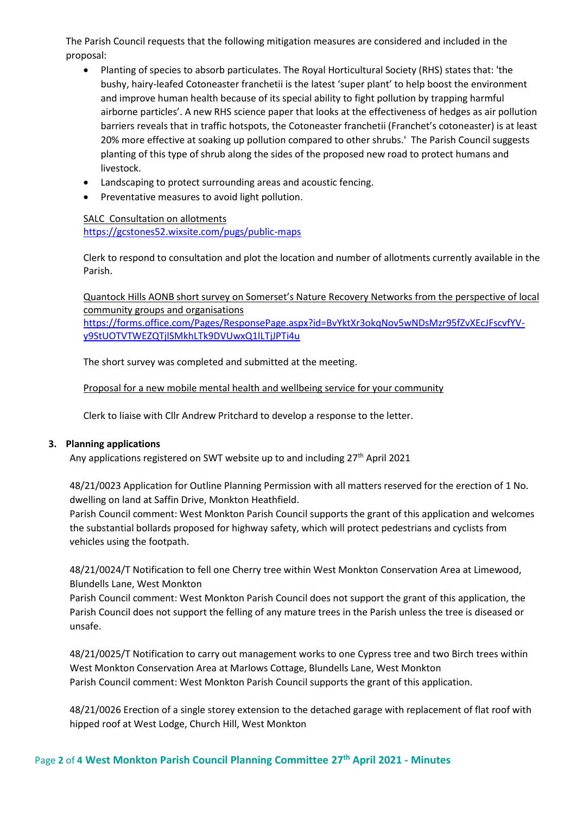The Parish Council requests that the following mitigation measures are considered and included in the proposal:

- Planting of species to absorb particulates. The Royal Horticultural Society (RHS) states that: 'the bushy, hairy-leafed Cotoneaster franchetii is the latest 'super plant' to help boost the environment and improve human health because of its special ability to fight pollution by trapping harmful airborne particles'. A new RHS science paper that looks at the effectiveness of hedges as air pollution barriers reveals that in traffic hotspots, the Cotoneaster franchetii (Franchet's cotoneaster) is at least 20% more effective at soaking up pollution compared to other shrubs.' The Parish Council suggests planting of this type of shrub along the sides of the proposed new road to protect humans and livestock.
- Landscaping to protect surrounding areas and acoustic fencing.
- Preventative measures to avoid light pollution.

SALC Consultation on allotments <https://gcstones52.wixsite.com/pugs/public-maps>

Clerk to respond to consultation and plot the location and number of allotments currently available in the Parish.

Quantock Hills AONB short survey on Somerset's Nature Recovery Networks from the perspective of local community groups and organisations

[https://forms.office.com/Pages/ResponsePage.aspx?id=BvYktXr3okqNov5wNDsMzr95fZvXEcJFscvfYV](https://forms.office.com/Pages/ResponsePage.aspx?id=BvYktXr3okqNov5wNDsMzr95fZvXEcJFscvfYV-y9StUOTVTWEZQTjlSMkhLTk9DVUwxQ1lLTjJPTi4u)[y9StUOTVTWEZQTjlSMkhLTk9DVUwxQ1lLTjJPTi4u](https://forms.office.com/Pages/ResponsePage.aspx?id=BvYktXr3okqNov5wNDsMzr95fZvXEcJFscvfYV-y9StUOTVTWEZQTjlSMkhLTk9DVUwxQ1lLTjJPTi4u) 

The short survey was completed and submitted at the meeting.

Proposal for a new mobile mental health and wellbeing service for your community

Clerk to liaise with Cllr Andrew Pritchard to develop a response to the letter.

#### **3. Planning applications**

Any applications registered on SWT website up to and including  $27<sup>th</sup>$  April 2021

48/21/0023 Application for Outline Planning Permission with all matters reserved for the erection of 1 No. dwelling on land at Saffin Drive, Monkton Heathfield.

Parish Council comment: West Monkton Parish Council supports the grant of this application and welcomes the substantial bollards proposed for highway safety, which will protect pedestrians and cyclists from vehicles using the footpath.

48/21/0024/T Notification to fell one Cherry tree within West Monkton Conservation Area at Limewood, Blundells Lane, West Monkton

Parish Council comment: West Monkton Parish Council does not support the grant of this application, the Parish Council does not support the felling of any mature trees in the Parish unless the tree is diseased or unsafe.

48/21/0025/T Notification to carry out management works to one Cypress tree and two Birch trees within West Monkton Conservation Area at Marlows Cottage, Blundells Lane, West Monkton Parish Council comment: West Monkton Parish Council supports the grant of this application.

48/21/0026 Erection of a single storey extension to the detached garage with replacement of flat roof with hipped roof at West Lodge, Church Hill, West Monkton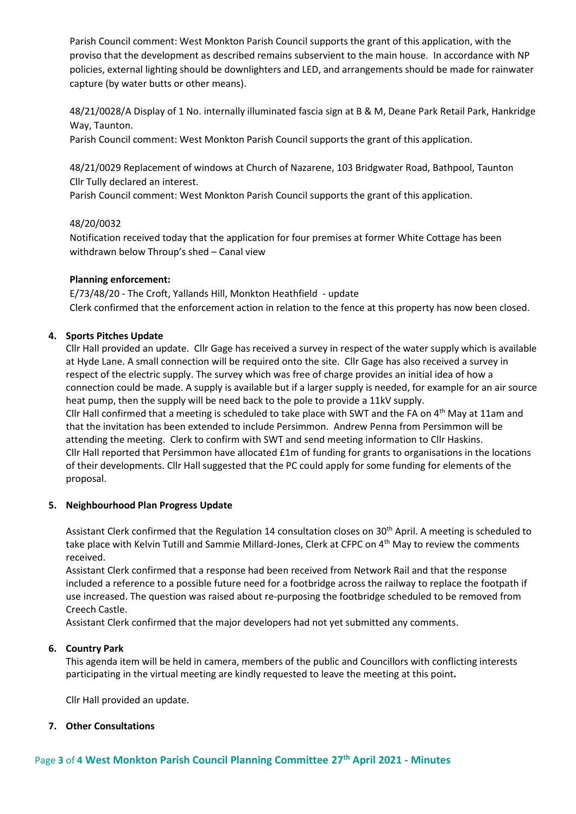Parish Council comment: West Monkton Parish Council supports the grant of this application, with the proviso that the development as described remains subservient to the main house. In accordance with NP policies, external lighting should be downlighters and LED, and arrangements should be made for rainwater capture (by water butts or other means).

48/21/0028/A Display of 1 No. internally illuminated fascia sign at B & M, Deane Park Retail Park, Hankridge Way, Taunton.

Parish Council comment: West Monkton Parish Council supports the grant of this application.

48/21/0029 Replacement of windows at Church of Nazarene, 103 Bridgwater Road, Bathpool, Taunton Cllr Tully declared an interest.

Parish Council comment: West Monkton Parish Council supports the grant of this application.

# 48/20/0032

Notification received today that the application for four premises at former White Cottage has been withdrawn below Throup's shed – Canal view

# **Planning enforcement:**

E/73/48/20 - The Croft, Yallands Hill, Monkton Heathfield - update Clerk confirmed that the enforcement action in relation to the fence at this property has now been closed.

# **4. Sports Pitches Update**

Cllr Hall provided an update. Cllr Gage has received a survey in respect of the water supply which is available at Hyde Lane. A small connection will be required onto the site. Cllr Gage has also received a survey in respect of the electric supply. The survey which was free of charge provides an initial idea of how a connection could be made. A supply is available but if a larger supply is needed, for example for an air source heat pump, then the supply will be need back to the pole to provide a 11kV supply. Cllr Hall confirmed that a meeting is scheduled to take place with SWT and the FA on  $4<sup>th</sup>$  May at 11am and that the invitation has been extended to include Persimmon. Andrew Penna from Persimmon will be attending the meeting. Clerk to confirm with SWT and send meeting information to Cllr Haskins. Cllr Hall reported that Persimmon have allocated £1m of funding for grants to organisations in the locations of their developments. Cllr Hall suggested that the PC could apply for some funding for elements of the proposal.

#### **5. Neighbourhood Plan Progress Update**

Assistant Clerk confirmed that the Regulation 14 consultation closes on 30<sup>th</sup> April. A meeting is scheduled to take place with Kelvin Tutill and Sammie Millard-Jones, Clerk at CFPC on 4<sup>th</sup> May to review the comments received.

Assistant Clerk confirmed that a response had been received from Network Rail and that the response included a reference to a possible future need for a footbridge across the railway to replace the footpath if use increased. The question was raised about re-purposing the footbridge scheduled to be removed from Creech Castle.

Assistant Clerk confirmed that the major developers had not yet submitted any comments.

# **6. Country Park**

This agenda item will be held in camera, members of the public and Councillors with conflicting interests participating in the virtual meeting are kindly requested to leave the meeting at this point**.** 

Cllr Hall provided an update.

#### **7. Other Consultations**